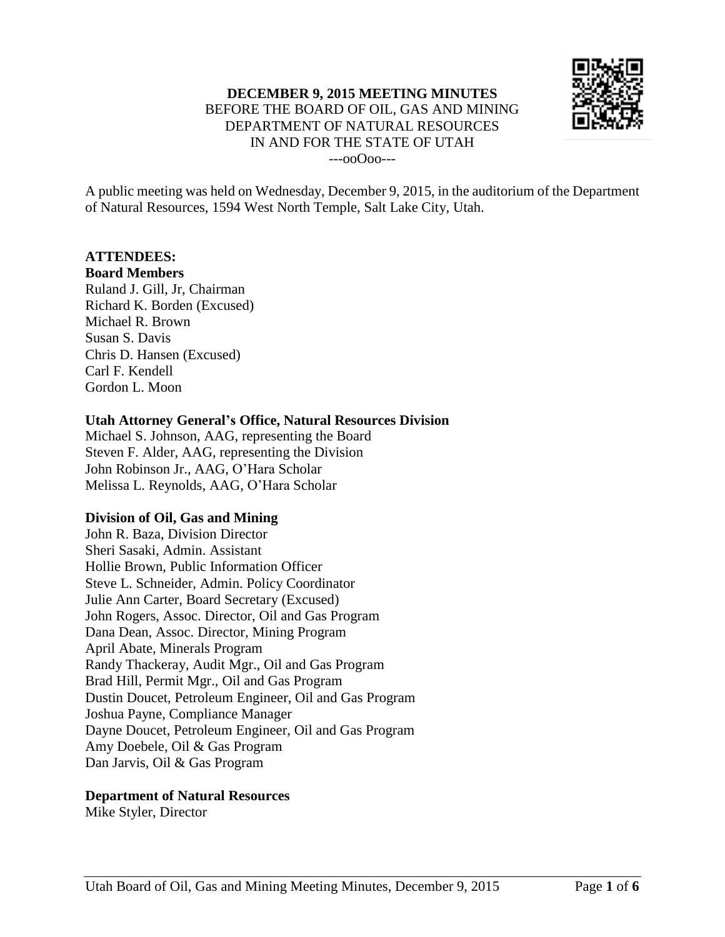

A public meeting was held on Wednesday, December 9, 2015, in the auditorium of the Department of Natural Resources, 1594 West North Temple, Salt Lake City, Utah.

## **ATTENDEES:**

### **Board Members**

Ruland J. Gill, Jr, Chairman Richard K. Borden (Excused) Michael R. Brown Susan S. Davis Chris D. Hansen (Excused) Carl F. Kendell Gordon L. Moon

## **Utah Attorney General's Office, Natural Resources Division**

Michael S. Johnson, AAG, representing the Board Steven F. Alder, AAG, representing the Division John Robinson Jr., AAG, O'Hara Scholar Melissa L. Reynolds, AAG, O'Hara Scholar

## **Division of Oil, Gas and Mining**

John R. Baza, Division Director Sheri Sasaki, Admin. Assistant Hollie Brown, Public Information Officer Steve L. Schneider, Admin. Policy Coordinator Julie Ann Carter, Board Secretary (Excused) John Rogers, Assoc. Director, Oil and Gas Program Dana Dean, Assoc. Director, Mining Program April Abate, Minerals Program Randy Thackeray, Audit Mgr., Oil and Gas Program Brad Hill, Permit Mgr., Oil and Gas Program Dustin Doucet, Petroleum Engineer, Oil and Gas Program Joshua Payne, Compliance Manager Dayne Doucet, Petroleum Engineer, Oil and Gas Program Amy Doebele, Oil & Gas Program Dan Jarvis, Oil & Gas Program

## **Department of Natural Resources**

Mike Styler, Director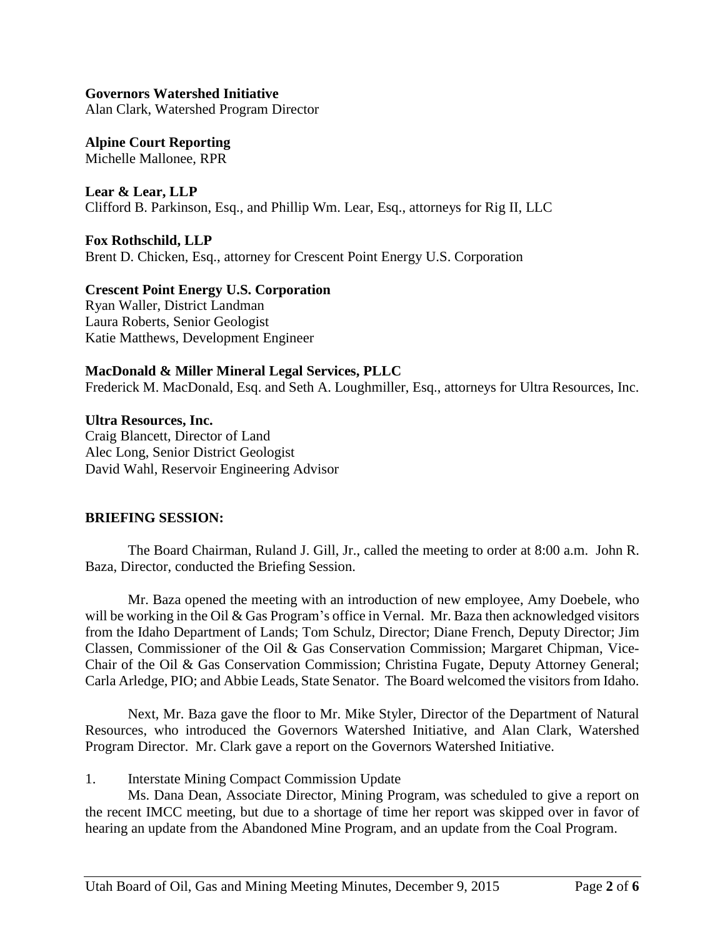**Governors Watershed Initiative** Alan Clark, Watershed Program Director

**Alpine Court Reporting** Michelle Mallonee, RPR

**Lear & Lear, LLP** Clifford B. Parkinson, Esq., and Phillip Wm. Lear, Esq., attorneys for Rig II, LLC

**Fox Rothschild, LLP** Brent D. Chicken, Esq., attorney for Crescent Point Energy U.S. Corporation

**Crescent Point Energy U.S. Corporation** Ryan Waller, District Landman Laura Roberts, Senior Geologist Katie Matthews, Development Engineer

## **MacDonald & Miller Mineral Legal Services, PLLC**

Frederick M. MacDonald, Esq. and Seth A. Loughmiller, Esq., attorneys for Ultra Resources, Inc.

**Ultra Resources, Inc.** Craig Blancett, Director of Land Alec Long, Senior District Geologist David Wahl, Reservoir Engineering Advisor

## **BRIEFING SESSION:**

The Board Chairman, Ruland J. Gill, Jr., called the meeting to order at 8:00 a.m. John R. Baza, Director, conducted the Briefing Session.

Mr. Baza opened the meeting with an introduction of new employee, Amy Doebele, who will be working in the Oil & Gas Program's office in Vernal. Mr. Baza then acknowledged visitors from the Idaho Department of Lands; Tom Schulz, Director; Diane French, Deputy Director; Jim Classen, Commissioner of the Oil & Gas Conservation Commission; Margaret Chipman, Vice-Chair of the Oil & Gas Conservation Commission; Christina Fugate, Deputy Attorney General; Carla Arledge, PIO; and Abbie Leads, State Senator. The Board welcomed the visitors from Idaho.

Next, Mr. Baza gave the floor to Mr. Mike Styler, Director of the Department of Natural Resources, who introduced the Governors Watershed Initiative, and Alan Clark, Watershed Program Director. Mr. Clark gave a report on the Governors Watershed Initiative.

1. Interstate Mining Compact Commission Update

Ms. Dana Dean, Associate Director, Mining Program, was scheduled to give a report on the recent IMCC meeting, but due to a shortage of time her report was skipped over in favor of hearing an update from the Abandoned Mine Program, and an update from the Coal Program.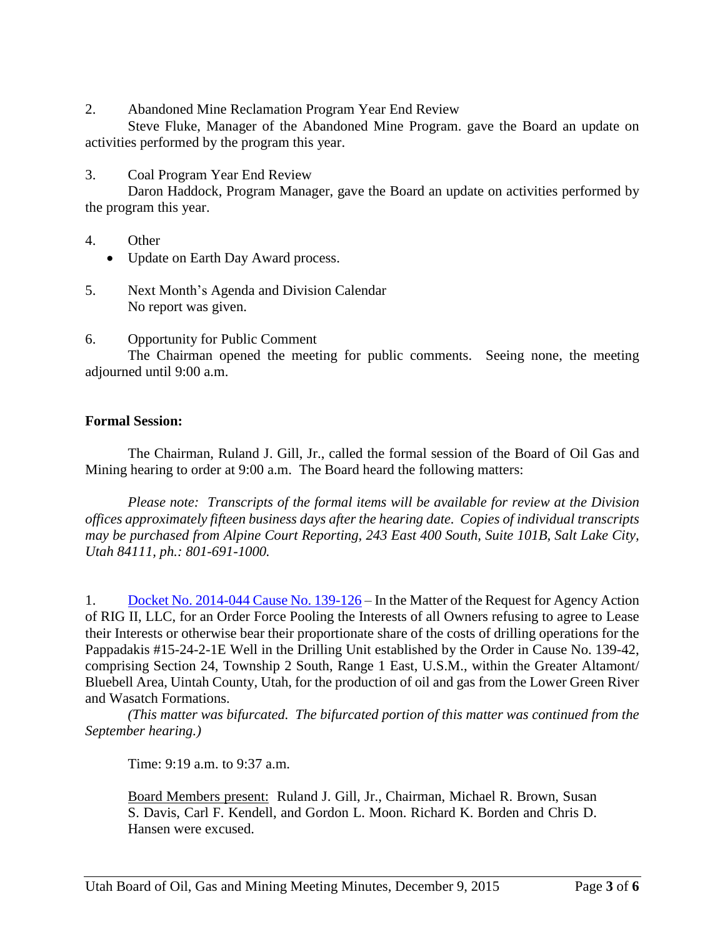2. Abandoned Mine Reclamation Program Year End Review

Steve Fluke, Manager of the Abandoned Mine Program. gave the Board an update on activities performed by the program this year.

3. Coal Program Year End Review

Daron Haddock, Program Manager, gave the Board an update on activities performed by the program this year.

- 4. Other
	- Update on Earth Day Award process.
- 5. Next Month's Agenda and Division Calendar No report was given.
- 6. Opportunity for Public Comment

The Chairman opened the meeting for public comments. Seeing none, the meeting adjourned until 9:00 a.m.

# **Formal Session:**

The Chairman, Ruland J. Gill, Jr., called the formal session of the Board of Oil Gas and Mining hearing to order at 9:00 a.m. The Board heard the following matters:

*Please note: Transcripts of the formal items will be available for review at the Division offices approximately fifteen business days after the hearing date. Copies of individual transcripts may be purchased from Alpine Court Reporting, 243 East 400 South, Suite 101B, Salt Lake City, Utah 84111, ph.: 801-691-1000.*

1. Docket No. [2014-044](http://ogm.utah.gov/amr/boardtemp/redesign/2015/12_Dec/Dockets/2014-044_139-126_RigII.php) Cause No. 139-126 – In the Matter of the Request for Agency Action of RIG II, LLC, for an Order Force Pooling the Interests of all Owners refusing to agree to Lease their Interests or otherwise bear their proportionate share of the costs of drilling operations for the Pappadakis #15-24-2-1E Well in the Drilling Unit established by the Order in Cause No. 139-42, comprising Section 24, Township 2 South, Range 1 East, U.S.M., within the Greater Altamont/ Bluebell Area, Uintah County, Utah, for the production of oil and gas from the Lower Green River and Wasatch Formations.

*(This matter was bifurcated. The bifurcated portion of this matter was continued from the September hearing.)*

Time: 9:19 a.m. to 9:37 a.m.

Board Members present: Ruland J. Gill, Jr., Chairman, Michael R. Brown, Susan S. Davis, Carl F. Kendell, and Gordon L. Moon. Richard K. Borden and Chris D. Hansen were excused.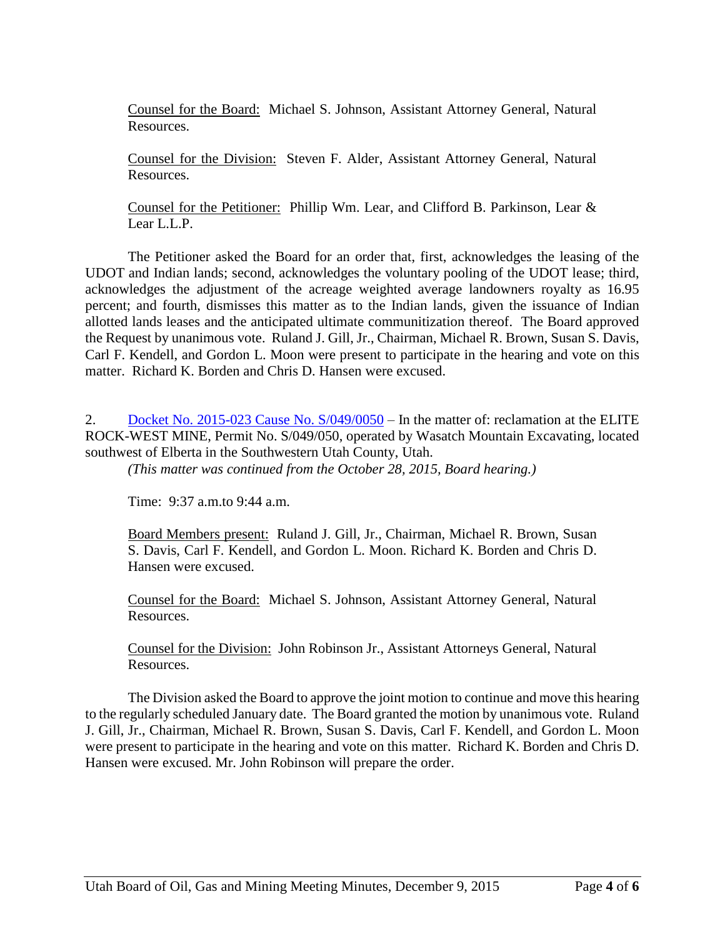Counsel for the Board: Michael S. Johnson, Assistant Attorney General, Natural Resources.

Counsel for the Division: Steven F. Alder, Assistant Attorney General, Natural Resources.

Counsel for the Petitioner: Phillip Wm. Lear, and Clifford B. Parkinson, Lear & Lear L.L.P.

The Petitioner asked the Board for an order that, first, acknowledges the leasing of the UDOT and Indian lands; second, acknowledges the voluntary pooling of the UDOT lease; third, acknowledges the adjustment of the acreage weighted average landowners royalty as 16.95 percent; and fourth, dismisses this matter as to the Indian lands, given the issuance of Indian allotted lands leases and the anticipated ultimate communitization thereof. The Board approved the Request by unanimous vote. Ruland J. Gill, Jr., Chairman, Michael R. Brown, Susan S. Davis, Carl F. Kendell, and Gordon L. Moon were present to participate in the hearing and vote on this matter. Richard K. Borden and Chris D. Hansen were excused.

2. Docket No. 2015-023 Cause No.  $S/049/0050$  – In the matter of: reclamation at the ELITE ROCK-WEST MINE, Permit No. S/049/050, operated by Wasatch Mountain Excavating, located southwest of Elberta in the Southwestern Utah County, Utah.

*(This matter was continued from the October 28, 2015, Board hearing.)*

Time: 9:37 a.m.to 9:44 a.m.

Board Members present: Ruland J. Gill, Jr., Chairman, Michael R. Brown, Susan S. Davis, Carl F. Kendell, and Gordon L. Moon. Richard K. Borden and Chris D. Hansen were excused.

Counsel for the Board: Michael S. Johnson, Assistant Attorney General, Natural Resources.

Counsel for the Division: John Robinson Jr., Assistant Attorneys General, Natural Resources.

The Division asked the Board to approve the joint motion to continue and move this hearing to the regularly scheduled January date. The Board granted the motion by unanimous vote. Ruland J. Gill, Jr., Chairman, Michael R. Brown, Susan S. Davis, Carl F. Kendell, and Gordon L. Moon were present to participate in the hearing and vote on this matter. Richard K. Borden and Chris D. Hansen were excused. Mr. John Robinson will prepare the order.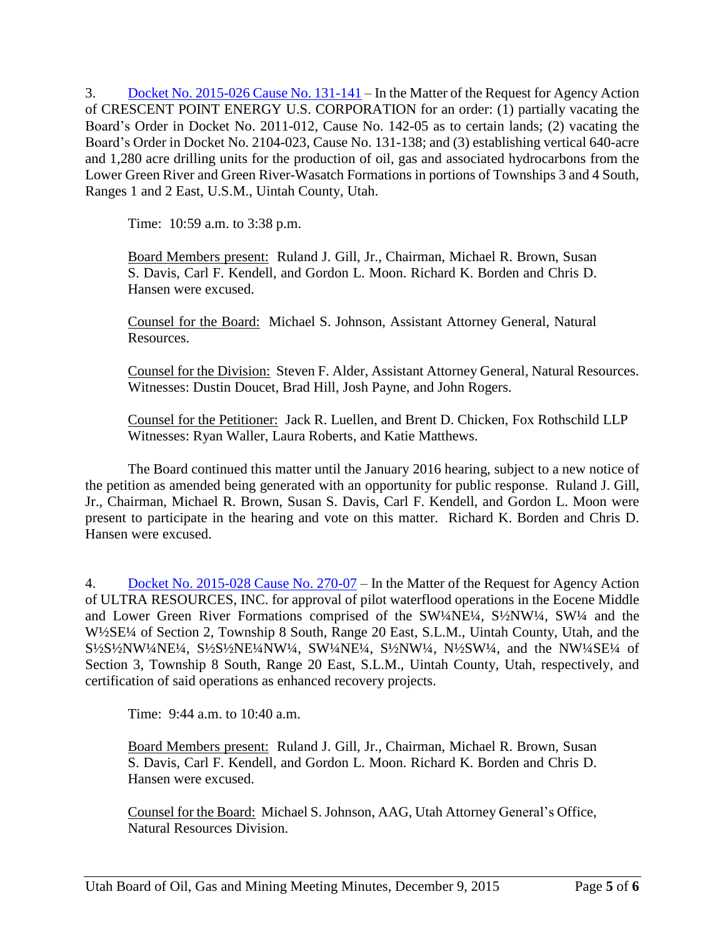3. Docket No. [2015-026](http://ogm.utah.gov/amr/boardtemp/redesign/2015/12_Dec/Dockets/2015-026_131-141_Crescent.php) Cause No. 131-141 – In the Matter of the Request for Agency Action of CRESCENT POINT ENERGY U.S. CORPORATION for an order: (1) partially vacating the Board's Order in Docket No. 2011-012, Cause No. 142-05 as to certain lands; (2) vacating the Board's Order in Docket No. 2104-023, Cause No. 131-138; and (3) establishing vertical 640-acre and 1,280 acre drilling units for the production of oil, gas and associated hydrocarbons from the Lower Green River and Green River-Wasatch Formations in portions of Townships 3 and 4 South, Ranges 1 and 2 East, U.S.M., Uintah County, Utah.

Time: 10:59 a.m. to 3:38 p.m.

Board Members present: Ruland J. Gill, Jr., Chairman, Michael R. Brown, Susan S. Davis, Carl F. Kendell, and Gordon L. Moon. Richard K. Borden and Chris D. Hansen were excused.

Counsel for the Board: Michael S. Johnson, Assistant Attorney General, Natural Resources.

Counsel for the Division: Steven F. Alder, Assistant Attorney General, Natural Resources. Witnesses: Dustin Doucet, Brad Hill, Josh Payne, and John Rogers.

Counsel for the Petitioner: Jack R. Luellen, and Brent D. Chicken, Fox Rothschild LLP Witnesses: Ryan Waller, Laura Roberts, and Katie Matthews.

The Board continued this matter until the January 2016 hearing, subject to a new notice of the petition as amended being generated with an opportunity for public response. Ruland J. Gill, Jr., Chairman, Michael R. Brown, Susan S. Davis, Carl F. Kendell, and Gordon L. Moon were present to participate in the hearing and vote on this matter. Richard K. Borden and Chris D. Hansen were excused.

4. Docket No. [2015-028](http://ogm.utah.gov/amr/boardtemp/redesign/2015/12_Dec/Dockets/2015-028_270-07_Ultra.php) Cause No. 270-07 – In the Matter of the Request for Agency Action of ULTRA RESOURCES, INC. for approval of pilot waterflood operations in the Eocene Middle and Lower Green River Formations comprised of the SW1/4NE<sup>1/4</sup>, S<sup>1</sup>/2NW<sup>1</sup>/4, SW<sup>1</sup>/4 and the W½SE¼ of Section 2, Township 8 South, Range 20 East, S.L.M., Uintah County, Utah, and the S<sup>1</sup>/<sub>2</sub>S<sup>1</sup>/<sub>2</sub>NW<sup>1</sup>/<sub>4</sub>NE<sup>1</sup>/<sub>4</sub>, S<sup>1</sup>/<sub>2</sub>S<sup>1</sup>/<sub>2</sub>NE<sup>1</sup>/<sub>4</sub>, SW<sup>1</sup>/<sub>4</sub>NE<sup>1</sup>/<sub>4</sub>, S<sup>1</sup>/<sub>2</sub>NW<sup>1</sup>/<sub>4</sub>, N<sup>1</sup>/<sub>2</sub>SW<sup>1</sup>/<sub>4</sub>, and the NW<sup>1</sup>/<sub>4</sub>SE<sup>1</sup>/<sub>4</sub> of Section 3, Township 8 South, Range 20 East, S.L.M., Uintah County, Utah, respectively, and certification of said operations as enhanced recovery projects.

Time: 9:44 a.m. to 10:40 a.m.

Board Members present: Ruland J. Gill, Jr., Chairman, Michael R. Brown, Susan S. Davis, Carl F. Kendell, and Gordon L. Moon. Richard K. Borden and Chris D. Hansen were excused.

Counsel for the Board: Michael S. Johnson, AAG, Utah Attorney General's Office, Natural Resources Division.